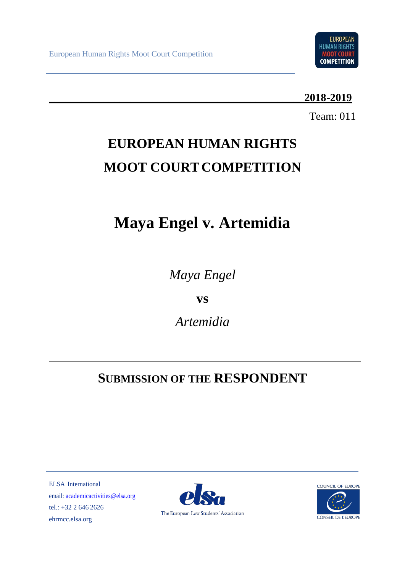

## **\_\_\_\_\_\_\_\_\_\_\_\_\_\_\_\_\_\_\_\_\_\_\_\_\_\_\_\_\_\_\_\_\_\_\_\_\_\_\_\_\_\_\_\_\_\_\_2018-2019**

Team: 011

# **EUROPEAN HUMAN RIGHTS MOOT COURT COMPETITION**

# **Maya Engel v. Artemidia**

*Maya Engel*

**vs** 

*Artemidia*

## **SUBMISSION OF THE RESPONDENT**

ELSA International email[: academicactivities@elsa.org](mailto:academicactivities@elsa.org) tel.: +32 2 646 2626 ehrmcc.elsa.org



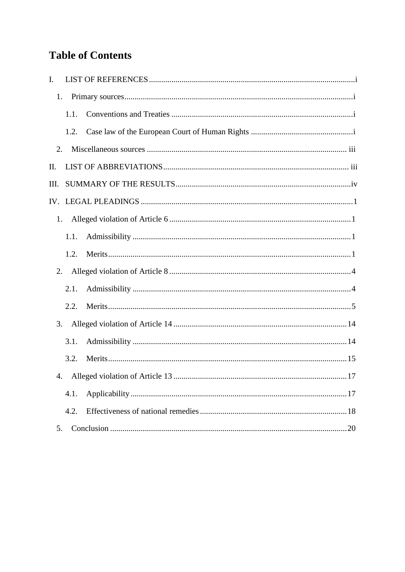## **Table of Contents**

| I.   |      |    |
|------|------|----|
| 1.   |      |    |
|      | 1.1. |    |
|      | 1.2. |    |
| 2.   |      |    |
| П.   |      |    |
| III. |      |    |
|      |      |    |
| 1.   |      |    |
|      | 1.1. |    |
|      | 1.2. |    |
| 2.   |      |    |
|      | 2.1. |    |
|      | 2.2. |    |
| 3.   |      |    |
|      | 3.1. |    |
|      | 3.2. |    |
|      |      | 17 |
|      | 4.1. |    |
|      | 4.2. |    |
| 5.   |      |    |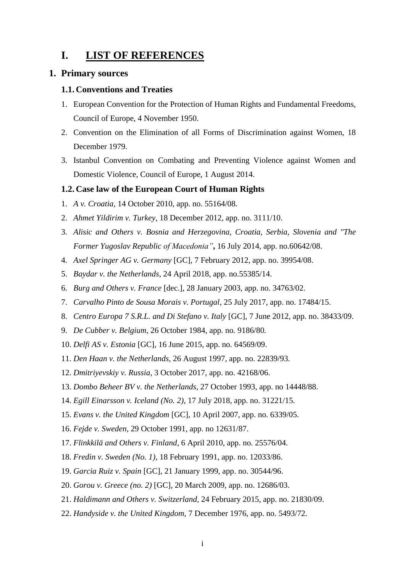## <span id="page-2-0"></span>**I. LIST OF REFERENCES**

#### <span id="page-2-1"></span>**1. Primary sources**

#### <span id="page-2-2"></span>**1.1. Conventions and Treaties**

- 1. European Convention for the Protection of Human Rights and Fundamental Freedoms, Council of Europe, 4 November 1950.
- 2. Convention on the Elimination of all Forms of Discrimination against Women, 18 December 1979.
- 3. Istanbul Convention on Combating and Preventing Violence against Women and Domestic Violence, Council of Europe, 1 August 2014.

#### <span id="page-2-3"></span>**1.2. Case law of the European Court of Human Rights**

- 1. *A v. Croatia,* 14 October 2010, app. no. 55164/08.
- 2. *Ahmet Yildirim v. Turkey*, 18 December 2012, app. no. 3111/10.
- 3. *Alisic and Others v. Bosnia and Herzegovina, Croatia, Serbia, Slovenia and "The Former Yugoslav Republic of Macedonia"***,** 16 July 2014, app. no.60642/08.
- 4. *Axel Springer AG v. Germany* [GC], 7 February 2012, app. no. 39954/08.
- 5. *Baydar v. the Netherlands*, 24 April 2018, app. no.55385/14.
- 6. *Burg and Others v. France* [dec.], 28 January 2003, app. no. 34763/02.
- 7. *Carvalho Pinto de Sousa Morais v. Portugal*, 25 July 2017, app. no. 17484/15.
- 8. *Centro Europa 7 S.R.L. and Di Stefano v. Italy* [GC], 7 June 2012, app. no. 38433/09.
- 9. *De Cubber v. Belgium,* 26 October 1984, app. no*.* 9186/80*.*
- 10. *Delfi AS v. Estonia* [GC], 16 June 2015, app. no. 64569/09.
- 11. *Den Haan v. the Netherlands*, 26 August 1997, app. no. 22839/93.
- 12. *Dmitriyevskiy v. Russia*, 3 October 2017, app. no. 42168/06.
- 13. *Dombo Beheer BV v. the Netherlands*, 27 October 1993, app. no 14448/88.
- 14. *Egill Einarsson v. Iceland (No. 2),* 17 July 2018, app. no. 31221/15.
- 15. *Evans v. the United Kingdom* [GC], 10 April 2007, app. no. 6339/05.
- 16. *Fejde v. Sweden*, 29 October 1991, app. no 12631/87.
- 17. *Flinkkilä and Others v. Finland*, 6 April 2010, app. no. 25576/04.
- 18. *Fredin v. Sweden (No. 1),* 18 February 1991, app. no. 12033/86.
- 19. *Garcia Ruiz v. Spain* [GC], 21 January 1999, app. no. 30544/96.
- 20. *Gorou v. Greece (no. 2)* [GC], 20 March 2009, app. no. 12686/03.
- 21. *Haldimann and Others v. Switzerland,* 24 February 2015, app. no. 21830/09.
- 22. *Handyside v. the United Kingdom,* 7 December 1976, app. no. 5493/72.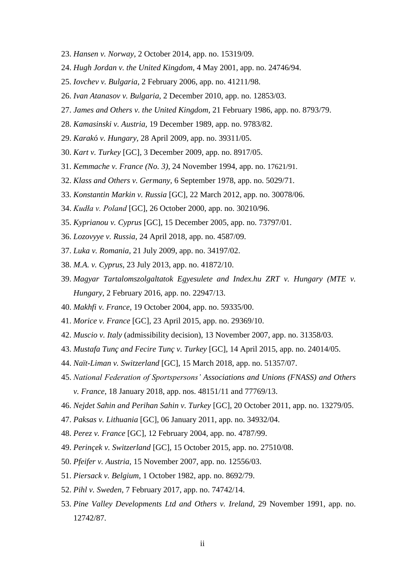- 23. *Hansen v. Norway*, 2 October 2014, app. no. 15319/09.
- 24. *Hugh Jordan v. the United Kingdom*, 4 May 2001, app. no. 24746/94.
- 25. *Iovchev v. Bulgaria*, 2 February 2006, app. no. 41211/98.
- 26. *Ivan Atanasov v. Bulgaria*, 2 December 2010, app. no. 12853/03.
- 27. *James and Others v. the United Kingdom*, 21 February 1986, app. no. 8793/79.
- 28. *Kamasinski v. Austria,* 19 December 1989, app. no. 9783/82.
- 29. *Karak*ó *v. Hungary,* 28 April 2009, app. no. 39311/05.
- 30. *Kart v. Turkey* [GC], 3 December 2009, app. no. 8917/05.
- 31. *Kemmache v. France (No. 3)*, 24 November 1994, app. no. 17621/91.
- 32. *Klass and Others v. Germany,* 6 September 1978, app. no. 5029/71.
- 33. *Konstantin Markin v. Russia* [GC], 22 March 2012, app. no. 30078/06.
- 34. *Kudła v. Poland* [GC], 26 October 2000, app. no. 30210/96.
- 35. *Kyprianou v. Cyprus* [GC], 15 December 2005, app. no. 73797/01.
- 36. *Lozovyye v. Russia*, 24 April 2018, app. no. 4587/09.
- 37. *Luka v. Romania,* 21 July 2009, app. no. 34197/02.
- 38. *M.A. v. Cyprus*, 23 July 2013, app. no. 41872/10.
- 39. *Magyar Tartalomszolgaltatok Egyesulete and Index.hu ZRT v. Hungary (MTE v. Hungary*, 2 February 2016, app. no. 22947/13.
- 40. *Makhfi v. France*, 19 October 2004, app. no. 59335/00.
- 41. *Morice v. France* [GC], 23 April 2015, app. no. 29369/10.
- 42. *Muscio v. Italy* (admissibility decision), 13 November 2007, app. no. 31358/03.
- 43. *Mustafa Tunç and Fecire Tunç v. Turkey* [GC], 14 April 2015, app. no. 24014/05.
- 44. *Naït-Liman v. Switzerland* [GC], 15 March 2018, app. no. 51357/07.
- 45. *National Federation of Sportspersons' Associations and Unions (FNASS) and Others v. France*, 18 January 2018, app. nos. 48151/11 and 77769/13.
- 46. *Nejdet Sahin and Perihan Sahin v. Turkey* [GC], 20 October 2011, app. no. 13279/05.
- 47. *Paksas v. Lithuania* [GC], 06 January 2011, app. no. 34932/04.
- 48. *Perez v. France* [GC]*,* 12 February 2004, app. no. 4787/99.
- 49. *Perinçek v. Switzerland* [GC], 15 October 2015, app. no. 27510/08.
- 50. *Pfeifer v. Austria,* 15 November 2007, app. no. 12556/03.
- 51. *Piersack v. Belgium*, 1 October 1982, app. no. 8692/79.
- 52. *Pihl v. Sweden*, 7 February 2017, app. no. 74742/14.
- 53. *Pine Valley Developments Ltd and Others v. Ireland,* 29 November 1991, app. no. 12742/87.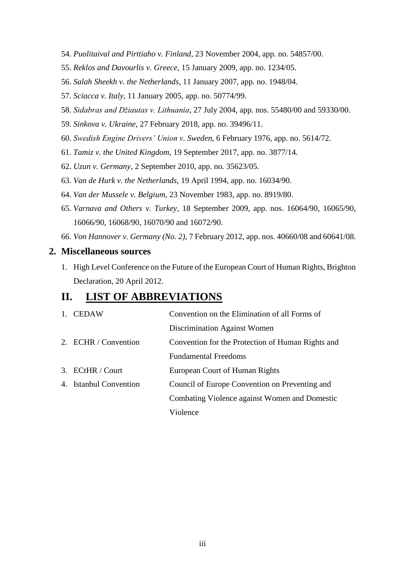- 54. *Puolitaival and Pirttiaho v. Finland*, 23 November 2004, app. no. 54857/00.
- 55. *Reklos and Davourlis v. Greece*, 15 January 2009, app. no. 1234/05.
- 56. *Salah Sheekh v. the Netherlands*, 11 January 2007, app. no. 1948/04.
- 57. *Sciacca v. Italy*, 11 January 2005, app. no. 50774/99.
- 58. *Sidabras and Džiautas v. Lithuania*, 27 July 2004, app. nos. 55480/00 and 59330/00.
- 59. *Sinkova v. Ukraine*, 27 February 2018, app. no. 39496/11.
- 60. *Swedish Engine Drivers' Union v. Sweden*, 6 February 1976, app. no. 5614/72.
- 61. *Tamiz v. the United Kingdom,* 19 September 2017, app. no. 3877/14.
- 62. *Uzun v. Germany,* 2 September 2010, app. no. 35623/05.
- 63. *Van de Hurk v. the Netherlands,* 19 April 1994, app. no. 16034/90.
- 64. *Van der Mussele v. Belgium,* 23 November 1983, app. no. 8919/80.
- 65. *Varnava and Others v. Turkey*, 18 September 2009, app. nos. 16064/90, 16065/90, 16066/90, 16068/90, 16070/90 and 16072/90.
- 66. *Von Hannover v. Germany (No. 2)*, 7 February 2012, app. nos. 40660/08 and 60641/08.

#### <span id="page-4-0"></span>**2. Miscellaneous sources**

1. High Level Conference on the Future of the European Court of Human Rights, Brighton Declaration, 20 April 2012.

### <span id="page-4-1"></span>**II. LIST OF ABBREVIATIONS**

| 1. CEDAW               | Convention on the Elimination of all Forms of     |
|------------------------|---------------------------------------------------|
|                        | Discrimination Against Women                      |
| 2. ECHR / Convention   | Convention for the Protection of Human Rights and |
|                        | <b>Fundamental Freedoms</b>                       |
| 3. ECtHR / Court       | European Court of Human Rights                    |
| 4. Istanbul Convention | Council of Europe Convention on Preventing and    |
|                        | Combating Violence against Women and Domestic     |
|                        | Violence                                          |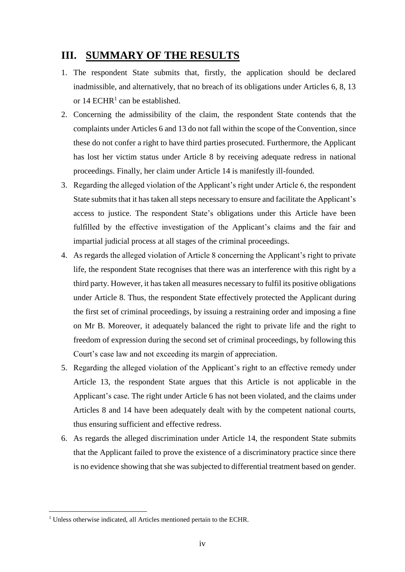## <span id="page-5-0"></span>**III. SUMMARY OF THE RESULTS**

- 1. The respondent State submits that, firstly, the application should be declared inadmissible, and alternatively, that no breach of its obligations under Articles 6, 8, 13 or  $14$  ECHR<sup>1</sup> can be established.
- 2. Concerning the admissibility of the claim, the respondent State contends that the complaints under Articles 6 and 13 do not fall within the scope of the Convention, since these do not confer a right to have third parties prosecuted. Furthermore, the Applicant has lost her victim status under Article 8 by receiving adequate redress in national proceedings. Finally, her claim under Article 14 is manifestly ill-founded.
- 3. Regarding the alleged violation of the Applicant's right under Article 6, the respondent State submits that it has taken all steps necessary to ensure and facilitate the Applicant's access to justice. The respondent State's obligations under this Article have been fulfilled by the effective investigation of the Applicant's claims and the fair and impartial judicial process at all stages of the criminal proceedings.
- 4. As regards the alleged violation of Article 8 concerning the Applicant's right to private life, the respondent State recognises that there was an interference with this right by a third party. However, it has taken all measures necessary to fulfil its positive obligations under Article 8. Thus, the respondent State effectively protected the Applicant during the first set of criminal proceedings, by issuing a restraining order and imposing a fine on Mr B. Moreover, it adequately balanced the right to private life and the right to freedom of expression during the second set of criminal proceedings, by following this Court's case law and not exceeding its margin of appreciation.
- 5. Regarding the alleged violation of the Applicant's right to an effective remedy under Article 13, the respondent State argues that this Article is not applicable in the Applicant's case. The right under Article 6 has not been violated, and the claims under Articles 8 and 14 have been adequately dealt with by the competent national courts, thus ensuring sufficient and effective redress.
- 6. As regards the alleged discrimination under Article 14, the respondent State submits that the Applicant failed to prove the existence of a discriminatory practice since there is no evidence showing that she was subjected to differential treatment based on gender.

<sup>&</sup>lt;sup>1</sup> Unless otherwise indicated, all Articles mentioned pertain to the ECHR.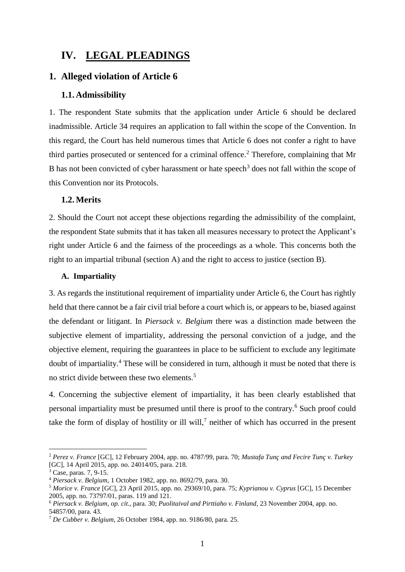## <span id="page-6-0"></span>**IV. LEGAL PLEADINGS**

#### <span id="page-6-1"></span>**1. Alleged violation of Article 6**

#### <span id="page-6-2"></span>**1.1. Admissibility**

1. The respondent State submits that the application under Article 6 should be declared inadmissible. Article 34 requires an application to fall within the scope of the Convention. In this regard, the Court has held numerous times that Article 6 does not confer a right to have third parties prosecuted or sentenced for a criminal offence.<sup>2</sup> Therefore, complaining that Mr B has not been convicted of cyber harassment or hate speech<sup>3</sup> does not fall within the scope of this Convention nor its Protocols.

#### <span id="page-6-3"></span>**1.2. Merits**

2. Should the Court not accept these objections regarding the admissibility of the complaint, the respondent State submits that it has taken all measures necessary to protect the Applicant's right under Article 6 and the fairness of the proceedings as a whole. This concerns both the right to an impartial tribunal (section A) and the right to access to justice (section B).

#### **A. Impartiality**

3. As regards the institutional requirement of impartiality under Article 6, the Court has rightly held that there cannot be a fair civil trial before a court which is, or appears to be, biased against the defendant or litigant. In *Piersack v. Belgium* there was a distinction made between the subjective element of impartiality, addressing the personal conviction of a judge, and the objective element, requiring the guarantees in place to be sufficient to exclude any legitimate doubt of impartiality.<sup>4</sup> These will be considered in turn, although it must be noted that there is no strict divide between these two elements.<sup>5</sup>

4. Concerning the subjective element of impartiality, it has been clearly established that personal impartiality must be presumed until there is proof to the contrary.<sup>6</sup> Such proof could take the form of display of hostility or ill will,<sup>7</sup> neither of which has occurred in the present

<sup>2</sup> *Perez v. France* [GC]*,* 12 February 2004, app. no. 4787/99, para. 70; *Mustafa Tunç and Fecire Tunç v. Turkey*  [GC], 14 April 2015, app. no. 24014/05, para. 218.

 $3 \text{ Case, paras. } 7, 9-15.$ 

<sup>4</sup> *Piersack v. Belgium*, 1 October 1982, app. no. 8692/79, para. 30.

<sup>5</sup> *Morice v. France* [GC], 23 April 2015, app. no. 29369/10, para. 75; *Kyprianou v. Cyprus* [GC], 15 December 2005, app. no. 73797/01, paras. 119 and 121.

<sup>6</sup> *Piersack v. Belgium*, *op. cit.*, para. 30; *Puolitaival and Pirttiaho v. Finland*, 23 November 2004, app. no. 54857/00, para. 43.

<sup>7</sup> *De Cubber v. Belgium*, 26 October 1984, app. no. 9186/80, para. 25.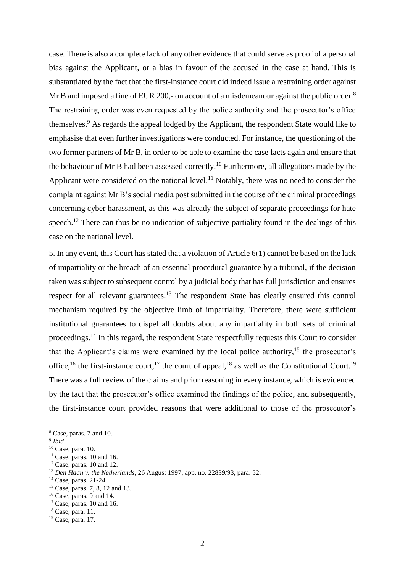case. There is also a complete lack of any other evidence that could serve as proof of a personal bias against the Applicant, or a bias in favour of the accused in the case at hand. This is substantiated by the fact that the first-instance court did indeed issue a restraining order against Mr B and imposed a fine of EUR 200,- on account of a misdemeanour against the public order.<sup>8</sup> The restraining order was even requested by the police authority and the prosecutor's office themselves.<sup>9</sup> As regards the appeal lodged by the Applicant, the respondent State would like to emphasise that even further investigations were conducted. For instance, the questioning of the two former partners of Mr B, in order to be able to examine the case facts again and ensure that the behaviour of Mr B had been assessed correctly.<sup>10</sup> Furthermore, all allegations made by the Applicant were considered on the national level.<sup>11</sup> Notably, there was no need to consider the complaint against Mr B's social media post submitted in the course of the criminal proceedings concerning cyber harassment, as this was already the subject of separate proceedings for hate speech.<sup>12</sup> There can thus be no indication of subjective partiality found in the dealings of this case on the national level.

5. In any event, this Court has stated that a violation of Article 6(1) cannot be based on the lack of impartiality or the breach of an essential procedural guarantee by a tribunal, if the decision taken was subject to subsequent control by a judicial body that has full jurisdiction and ensures respect for all relevant guarantees.<sup>13</sup> The respondent State has clearly ensured this control mechanism required by the objective limb of impartiality. Therefore, there were sufficient institutional guarantees to dispel all doubts about any impartiality in both sets of criminal proceedings.<sup>14</sup> In this regard, the respondent State respectfully requests this Court to consider that the Applicant's claims were examined by the local police authority,  $15$  the prosecutor's office, <sup>16</sup> the first-instance court, <sup>17</sup> the court of appeal, <sup>18</sup> as well as the Constitutional Court.<sup>19</sup> There was a full review of the claims and prior reasoning in every instance, which is evidenced by the fact that the prosecutor's office examined the findings of the police, and subsequently, the first-instance court provided reasons that were additional to those of the prosecutor's

<sup>8</sup> Case, paras. 7 and 10.

<sup>9</sup> *Ibid*.

<sup>10</sup> Case, para. 10.

 $11$  Case, paras. 10 and 16.

 $12$  Case, paras. 10 and 12.

<sup>13</sup> *Den Haan v. the Netherlands*, 26 August 1997, app. no. 22839/93, para. 52.

<sup>14</sup> Case, paras. 21-24.

<sup>&</sup>lt;sup>15</sup> Case, paras. 7, 8, 12 and 13.

 $16$  Case, paras. 9 and 14.

 $17$  Case, paras. 10 and 16.

<sup>18</sup> Case, para. 11.

<sup>19</sup> Case, para. 17.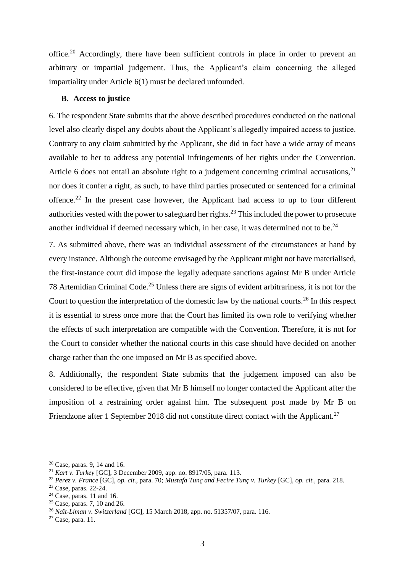office.<sup>20</sup> Accordingly, there have been sufficient controls in place in order to prevent an arbitrary or impartial judgement. Thus, the Applicant's claim concerning the alleged impartiality under Article 6(1) must be declared unfounded.

#### **B. Access to justice**

6. The respondent State submits that the above described procedures conducted on the national level also clearly dispel any doubts about the Applicant's allegedly impaired access to justice. Contrary to any claim submitted by the Applicant, she did in fact have a wide array of means available to her to address any potential infringements of her rights under the Convention. Article 6 does not entail an absolute right to a judgement concerning criminal accusations,  $2<sup>1</sup>$ nor does it confer a right, as such, to have third parties prosecuted or sentenced for a criminal offence.<sup>22</sup> In the present case however, the Applicant had access to up to four different authorities vested with the power to safeguard her rights.<sup>23</sup> This included the power to prosecute another individual if deemed necessary which, in her case, it was determined not to be.<sup>24</sup>

7. As submitted above, there was an individual assessment of the circumstances at hand by every instance. Although the outcome envisaged by the Applicant might not have materialised, the first-instance court did impose the legally adequate sanctions against Mr B under Article 78 Artemidian Criminal Code.<sup>25</sup> Unless there are signs of evident arbitrariness, it is not for the Court to question the interpretation of the domestic law by the national courts.<sup>26</sup> In this respect it is essential to stress once more that the Court has limited its own role to verifying whether the effects of such interpretation are compatible with the Convention. Therefore, it is not for the Court to consider whether the national courts in this case should have decided on another charge rather than the one imposed on Mr B as specified above.

8. Additionally, the respondent State submits that the judgement imposed can also be considered to be effective, given that Mr B himself no longer contacted the Applicant after the imposition of a restraining order against him. The subsequent post made by Mr B on Friendzone after 1 September 2018 did not constitute direct contact with the Applicant.<sup>27</sup>

<sup>20</sup> Case, paras. 9, 14 and 16.

<sup>21</sup> *Kart v. Turkey* [GC], 3 December 2009, app. no. 8917/05, para. 113.

<sup>22</sup> *Perez v. France* [GC], *op. cit.*, para. 70; *Mustafa Tunç and Fecire Tunç v. Turkey* [GC], *op. cit.*, para. 218.

<sup>23</sup> Case, paras. 22-24.

 $24$  Case, paras. 11 and 16.

 $25$  Case, paras. 7, 10 and 26.

<sup>26</sup> *Naït-Liman v. Switzerland* [GC], 15 March 2018, app. no. 51357/07, para. 116.

 $27$  Case, para. 11.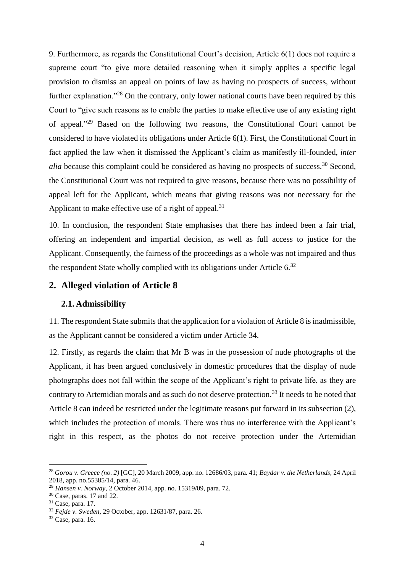9. Furthermore, as regards the Constitutional Court's decision, Article 6(1) does not require a supreme court "to give more detailed reasoning when it simply applies a specific legal provision to dismiss an appeal on points of law as having no prospects of success, without further explanation."<sup>28</sup> On the contrary, only lower national courts have been required by this Court to "give such reasons as to enable the parties to make effective use of any existing right of appeal." <sup>29</sup> Based on the following two reasons, the Constitutional Court cannot be considered to have violated its obligations under Article 6(1). First, the Constitutional Court in fact applied the law when it dismissed the Applicant's claim as manifestly ill-founded, *inter alia* because this complaint could be considered as having no prospects of success.<sup>30</sup> Second, the Constitutional Court was not required to give reasons, because there was no possibility of appeal left for the Applicant, which means that giving reasons was not necessary for the Applicant to make effective use of a right of appeal. $31$ 

10. In conclusion, the respondent State emphasises that there has indeed been a fair trial, offering an independent and impartial decision, as well as full access to justice for the Applicant. Consequently, the fairness of the proceedings as a whole was not impaired and thus the respondent State wholly complied with its obligations under Article  $6^{32}$ 

#### <span id="page-9-0"></span>**2. Alleged violation of Article 8**

#### <span id="page-9-1"></span>**2.1. Admissibility**

11. The respondent State submits that the application for a violation of Article 8 is inadmissible, as the Applicant cannot be considered a victim under Article 34.

12. Firstly, as regards the claim that Mr B was in the possession of nude photographs of the Applicant, it has been argued conclusively in domestic procedures that the display of nude photographs does not fall within the scope of the Applicant's right to private life, as they are contrary to Artemidian morals and as such do not deserve protection.<sup>33</sup> It needs to be noted that Article 8 can indeed be restricted under the legitimate reasons put forward in its subsection (2), which includes the protection of morals. There was thus no interference with the Applicant's right in this respect, as the photos do not receive protection under the Artemidian

<sup>28</sup> *Gorou v. Greece (no. 2)* [GC], 20 March 2009, app. no. 12686/03, para. 41; *Baydar v. the Netherlands*, 24 April 2018, app. no.55385/14, para. 46.

<sup>29</sup> *Hansen v. Norway*, 2 October 2014, app. no. 15319/09, para. 72.

<sup>30</sup> Case, paras. 17 and 22.

<sup>31</sup> Case, para. 17.

<sup>32</sup> *Fejde v. Sweden*, 29 October, app. 12631/87, para. 26.

<sup>33</sup> Case, para. 16.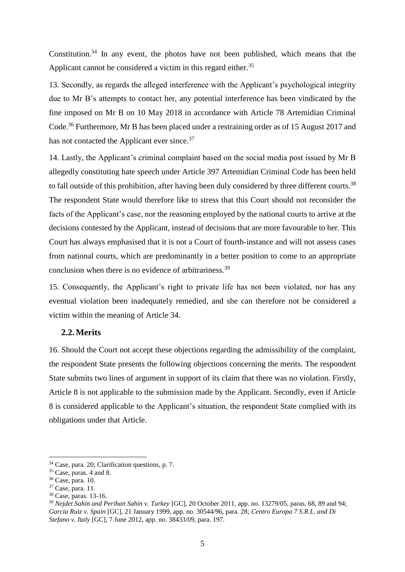Constitution.<sup>34</sup> In any event, the photos have not been published, which means that the Applicant cannot be considered a victim in this regard either.<sup>35</sup>

13. Secondly, as regards the alleged interference with the Applicant's psychological integrity due to Mr B's attempts to contact her, any potential interference has been vindicated by the fine imposed on Mr B on 10 May 2018 in accordance with Article 78 Artemidian Criminal Code.<sup>36</sup> Furthermore, Mr B has been placed under a restraining order as of 15 August 2017 and has not contacted the Applicant ever since.<sup>37</sup>

14. Lastly, the Applicant's criminal complaint based on the social media post issued by Mr B allegedly constituting hate speech under Article 397 Artemidian Criminal Code has been held to fall outside of this prohibition, after having been duly considered by three different courts.<sup>38</sup> The respondent State would therefore like to stress that this Court should not reconsider the facts of the Applicant's case, nor the reasoning employed by the national courts to arrive at the decisions contested by the Applicant, instead of decisions that are more favourable to her. This Court has always emphasised that it is not a Court of fourth-instance and will not assess cases from national courts, which are predominantly in a better position to come to an appropriate conclusion when there is no evidence of arbitrariness.<sup>39</sup>

15. Consequently, the Applicant's right to private life has not been violated, nor has any eventual violation been inadequately remedied, and she can therefore not be considered a victim within the meaning of Article 34.

#### <span id="page-10-0"></span>**2.2. Merits**

16. Should the Court not accept these objections regarding the admissibility of the complaint, the respondent State presents the following objections concerning the merits. The respondent State submits two lines of argument in support of its claim that there was no violation. Firstly, Article 8 is not applicable to the submission made by the Applicant. Secondly, even if Article 8 is considered applicable to the Applicant's situation, the respondent State complied with its obligations under that Article.

<sup>34</sup> Case, para. 20; Clarification questions, p. 7.

 $35$  Case, paras. 4 and 8.

<sup>36</sup> Case, para. 10.

<sup>37</sup> Case, para. 11.

<sup>38</sup> Case, paras. 13-16.

<sup>39</sup> *Nejdet Sahin and Perihan Sahin v. Turkey* [GC], 20 October 2011, app. no. 13279/05, paras. 68, 89 and 94; *Garcia Ruiz v. Spain* [GC], 21 January 1999, app. no. 30544/96, para. 28; *Centro Europa 7 S.R.L. and Di Stefano v. Italy* [GC], 7 June 2012, app. no. 38433/09, para. 197.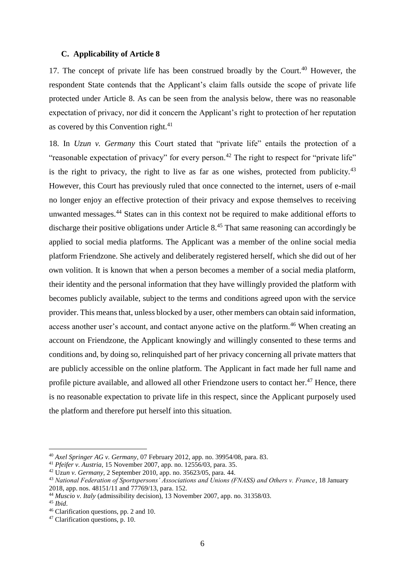#### **C. Applicability of Article 8**

17. The concept of private life has been construed broadly by the Court.<sup>40</sup> However, the respondent State contends that the Applicant's claim falls outside the scope of private life protected under Article 8. As can be seen from the analysis below, there was no reasonable expectation of privacy, nor did it concern the Applicant's right to protection of her reputation as covered by this Convention right.<sup>41</sup>

18. In *Uzun v. Germany* this Court stated that "private life" entails the protection of a "reasonable expectation of privacy" for every person.<sup>42</sup> The right to respect for "private life" is the right to privacy, the right to live as far as one wishes, protected from publicity.<sup>43</sup> However, this Court has previously ruled that once connected to the internet, users of e-mail no longer enjoy an effective protection of their privacy and expose themselves to receiving unwanted messages.<sup>44</sup> States can in this context not be required to make additional efforts to discharge their positive obligations under Article 8.<sup>45</sup> That same reasoning can accordingly be applied to social media platforms. The Applicant was a member of the online social media platform Friendzone. She actively and deliberately registered herself, which she did out of her own volition. It is known that when a person becomes a member of a social media platform, their identity and the personal information that they have willingly provided the platform with becomes publicly available, subject to the terms and conditions agreed upon with the service provider. This means that, unless blocked by a user, other members can obtain said information, access another user's account, and contact anyone active on the platform.<sup>46</sup> When creating an account on Friendzone, the Applicant knowingly and willingly consented to these terms and conditions and, by doing so, relinquished part of her privacy concerning all private matters that are publicly accessible on the online platform. The Applicant in fact made her full name and profile picture available, and allowed all other Friendzone users to contact her.<sup>47</sup> Hence, there is no reasonable expectation to private life in this respect, since the Applicant purposely used the platform and therefore put herself into this situation.

<sup>40</sup> *Axel Springer AG v. Germany*, 07 February 2012, app. no. 39954/08, para. 83.

<sup>41</sup> *Pfeifer v. Austria*, 15 November 2007, app. no. 12556/03, para. 35.

<sup>42</sup> Uz*un v. Germany,* 2 September 2010, app. no. 35623/05, para. 44.

<sup>43</sup> *National Federation of Sportspersons' Associations and Unions (FNASS) and Others v. France*, 18 January 2018, app. nos. 48151/11 and 77769/13, para. 152.

<sup>44</sup> *Muscio v. Italy* (admissibility decision), 13 November 2007, app. no. 31358/03.

<sup>45</sup> *Ibid*.

<sup>46</sup> Clarification questions, pp. 2 and 10.

<sup>47</sup> Clarification questions, p. 10.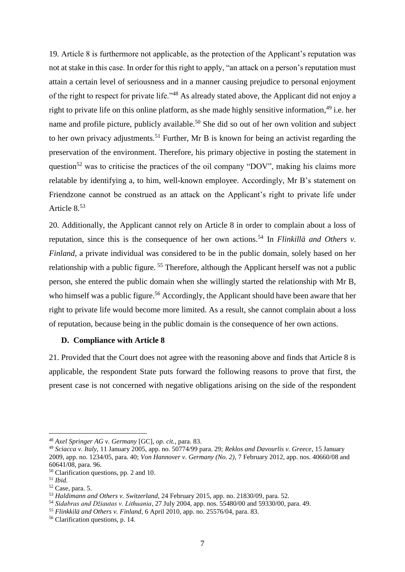19. Article 8 is furthermore not applicable, as the protection of the Applicant's reputation was not at stake in this case. In order for this right to apply, "an attack on a person's reputation must attain a certain level of seriousness and in a manner causing prejudice to personal enjoyment of the right to respect for private life."<sup>48</sup> As already stated above, the Applicant did not enjoy a right to private life on this online platform, as she made highly sensitive information,<sup>49</sup> i.e. her name and profile picture, publicly available.<sup>50</sup> She did so out of her own volition and subject to her own privacy adjustments.<sup>51</sup> Further, Mr B is known for being an activist regarding the preservation of the environment. Therefore, his primary objective in posting the statement in question<sup>52</sup> was to criticise the practices of the oil company "DOV", making his claims more relatable by identifying a, to him, well-known employee. Accordingly, Mr B's statement on Friendzone cannot be construed as an attack on the Applicant's right to private life under Article 8.<sup>53</sup>

20. Additionally, the Applicant cannot rely on Article 8 in order to complain about a loss of reputation, since this is the consequence of her own actions.<sup>54</sup> In *Flinkillä and Others v. Finland*, a private individual was considered to be in the public domain, solely based on her relationship with a public figure. <sup>55</sup> Therefore, although the Applicant herself was not a public person, she entered the public domain when she willingly started the relationship with Mr B, who himself was a public figure.<sup>56</sup> Accordingly, the Applicant should have been aware that her right to private life would become more limited. As a result, she cannot complain about a loss of reputation, because being in the public domain is the consequence of her own actions.

#### **D. Compliance with Article 8**

21. Provided that the Court does not agree with the reasoning above and finds that Article 8 is applicable, the respondent State puts forward the following reasons to prove that first, the present case is not concerned with negative obligations arising on the side of the respondent

<sup>48</sup> *Axel Springer AG v. Germany* [GC], *op. cit.*, para. 83.

<sup>49</sup> *Sciacca v. Italy*, 11 January 2005, app. no. 50774/99 para. 29; *Reklos and Davourlis v. Greece*, 15 January 2009, app. no. 1234/05, para. 40; *Von Hannover v. Germany (No. 2)*, 7 February 2012, app. nos. 40660/08 and 60641/08, para. 96.

<sup>50</sup> Clarification questions, pp. 2 and 10.

<sup>51</sup> *Ibid*.

<sup>52</sup> Case, para. 5.

<sup>53</sup> *Haldimann and Others v. Switzerland,* 24 February 2015, app. no. 21830/09, para. 52.

<sup>54</sup> *Sidabras and Džiautas v. Lithuania*, 27 July 2004, app. nos. 55480/00 and 59330/00, para. 49.

<sup>55</sup> *Flinkkilä and Others v. Finland*, 6 April 2010, app. no. 25576/04, para. 83.

<sup>56</sup> Clarification questions, p. 14.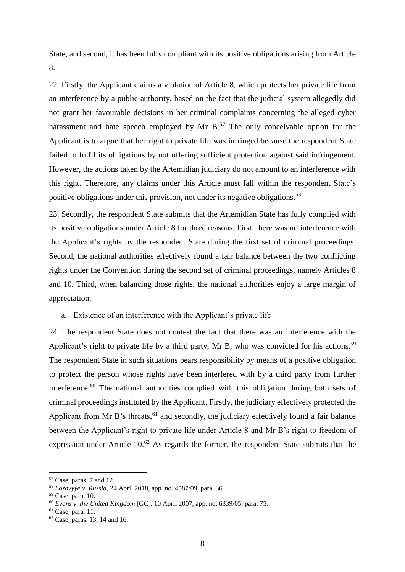State, and second, it has been fully compliant with its positive obligations arising from Article 8.

22. Firstly, the Applicant claims a violation of Article 8, which protects her private life from an interference by a public authority, based on the fact that the judicial system allegedly did not grant her favourable decisions in her criminal complaints concerning the alleged cyber harassment and hate speech employed by Mr B.<sup>57</sup> The only conceivable option for the Applicant is to argue that her right to private life was infringed because the respondent State failed to fulfil its obligations by not offering sufficient protection against said infringement. However, the actions taken by the Artemidian judiciary do not amount to an interference with this right. Therefore, any claims under this Article must fall within the respondent State's positive obligations under this provision, not under its negative obligations.<sup>58</sup>

23. Secondly, the respondent State submits that the Artemidian State has fully complied with its positive obligations under Article 8 for three reasons. First, there was no interference with the Applicant's rights by the respondent State during the first set of criminal proceedings. Second, the national authorities effectively found a fair balance between the two conflicting rights under the Convention during the second set of criminal proceedings, namely Articles 8 and 10. Third, when balancing those rights, the national authorities enjoy a large margin of appreciation.

#### a. Existence of an interference with the Applicant's private life

24. The respondent State does not contest the fact that there was an interference with the Applicant's right to private life by a third party, Mr B, who was convicted for his actions.<sup>59</sup> The respondent State in such situations bears responsibility by means of a positive obligation to protect the person whose rights have been interfered with by a third party from further interference.<sup>60</sup> The national authorities complied with this obligation during both sets of criminal proceedings instituted by the Applicant. Firstly, the judiciary effectively protected the Applicant from Mr B's threats,  $61$  and secondly, the judiciary effectively found a fair balance between the Applicant's right to private life under Article 8 and Mr B's right to freedom of expression under Article  $10^{62}$  As regards the former, the respondent State submits that the

 $57$  Case, paras. 7 and 12.

<sup>58</sup> *Lozovyye v. Russia*, 24 April 2018, app. no. 4587/09, para. 36.

 $59$  Case, para. 10.

<sup>60</sup> *Evans v. the United Kingdom* [GC], 10 April 2007, app. no. 6339/05, para. 75.

 $61$  Case, para. 11.

 $62$  Case, paras. 13, 14 and 16.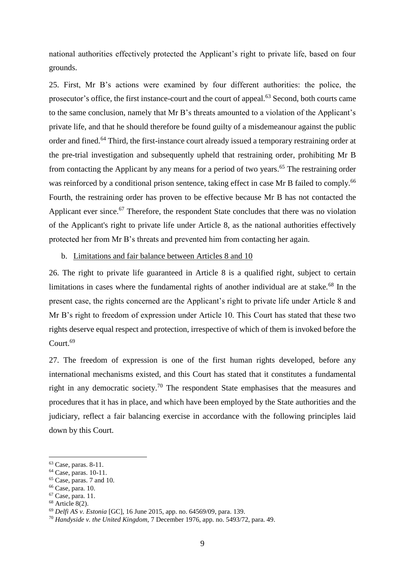national authorities effectively protected the Applicant's right to private life, based on four grounds.

25. First, Mr B's actions were examined by four different authorities: the police, the prosecutor's office, the first instance-court and the court of appeal.<sup>63</sup> Second, both courts came to the same conclusion, namely that Mr B's threats amounted to a violation of the Applicant's private life, and that he should therefore be found guilty of a misdemeanour against the public order and fined.<sup>64</sup> Third, the first-instance court already issued a temporary restraining order at the pre-trial investigation and subsequently upheld that restraining order, prohibiting Mr B from contacting the Applicant by any means for a period of two years.<sup>65</sup> The restraining order was reinforced by a conditional prison sentence, taking effect in case Mr B failed to comply.<sup>66</sup> Fourth, the restraining order has proven to be effective because Mr B has not contacted the Applicant ever since.<sup>67</sup> Therefore, the respondent State concludes that there was no violation of the Applicant's right to private life under Article 8, as the national authorities effectively protected her from Mr B's threats and prevented him from contacting her again.

#### b. Limitations and fair balance between Articles 8 and 10

26. The right to private life guaranteed in Article 8 is a qualified right, subject to certain limitations in cases where the fundamental rights of another individual are at stake. $^{68}$  In the present case, the rights concerned are the Applicant's right to private life under Article 8 and Mr B's right to freedom of expression under Article 10. This Court has stated that these two rights deserve equal respect and protection, irrespective of which of them is invoked before the Court.<sup>69</sup>

27. The freedom of expression is one of the first human rights developed, before any international mechanisms existed, and this Court has stated that it constitutes a fundamental right in any democratic society.<sup>70</sup> The respondent State emphasises that the measures and procedures that it has in place, and which have been employed by the State authorities and the judiciary, reflect a fair balancing exercise in accordance with the following principles laid down by this Court.

<sup>63</sup> Case, paras. 8-11.

<sup>64</sup> Case, paras. 10-11.

 $65$  Case, paras. 7 and 10.

<sup>66</sup> Case, para. 10.

<sup>67</sup> Case, para. 11.

<sup>68</sup> Article 8(2).

<sup>69</sup> *Delfi AS v. Estonia* [GC], 16 June 2015, app. no. 64569/09, para. 139.

<sup>70</sup> *Handyside v. the United Kingdom,* 7 December 1976, app. no. 5493/72, para. 49.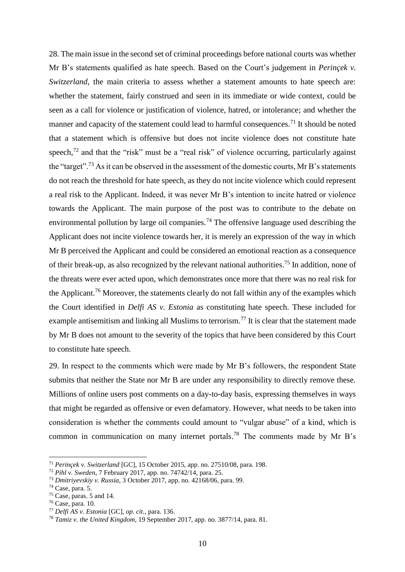28. The main issue in the second set of criminal proceedings before national courts was whether Mr B's statements qualified as hate speech. Based on the Court's judgement in *Perinçek v. Switzerland*, the main criteria to assess whether a statement amounts to hate speech are: whether the statement, fairly construed and seen in its immediate or wide context, could be seen as a call for violence or justification of violence, hatred, or intolerance; and whether the manner and capacity of the statement could lead to harmful consequences.<sup>71</sup> It should be noted that a statement which is offensive but does not incite violence does not constitute hate speech,<sup>72</sup> and that the "risk" must be a "real risk" of violence occurring, particularly against the "target".<sup>73</sup> As it can be observed in the assessment of the domestic courts, Mr B's statements do not reach the threshold for hate speech, as they do not incite violence which could represent a real risk to the Applicant. Indeed, it was never Mr B's intention to incite hatred or violence towards the Applicant. The main purpose of the post was to contribute to the debate on environmental pollution by large oil companies.<sup>74</sup> The offensive language used describing the Applicant does not incite violence towards her, it is merely an expression of the way in which Mr B perceived the Applicant and could be considered an emotional reaction as a consequence of their break-up, as also recognized by the relevant national authorities. <sup>75</sup> In addition, none of the threats were ever acted upon, which demonstrates once more that there was no real risk for the Applicant.<sup>76</sup> Moreover, the statements clearly do not fall within any of the examples which the Court identified in *Delfi AS v. Estonia* as constituting hate speech. These included for example antisemitism and linking all Muslims to terrorism.<sup>77</sup> It is clear that the statement made by Mr B does not amount to the severity of the topics that have been considered by this Court to constitute hate speech.

29. In respect to the comments which were made by Mr B's followers, the respondent State submits that neither the State nor Mr B are under any responsibility to directly remove these. Millions of online users post comments on a day-to-day basis, expressing themselves in ways that might be regarded as offensive or even defamatory. However, what needs to be taken into consideration is whether the comments could amount to "vulgar abuse" of a kind, which is common in communication on many internet portals.<sup>78</sup> The comments made by Mr B's

<sup>71</sup> *Perinçek v. Switzerland* [GC], 15 October 2015, app. no. 27510/08, para. 198.

<sup>72</sup> *Pihl v. Sweden*, 7 February 2017, app. no. 74742/14, para. 25.

<sup>73</sup> *Dmitriyevskiy v. Russia*, 3 October 2017, app. no. 42168/06, para. 99.

 $74$  Case, para. 5.

 $75$  Case, paras. 5 and 14.

<sup>76</sup> Case, para. 10.

<sup>77</sup> *Delfi AS v. Estonia* [GC], *op. cit.*, para. 136.

<sup>78</sup> *Tamiz v. the United Kingdom,* 19 September 2017, app. no. 3877/14, para. 81.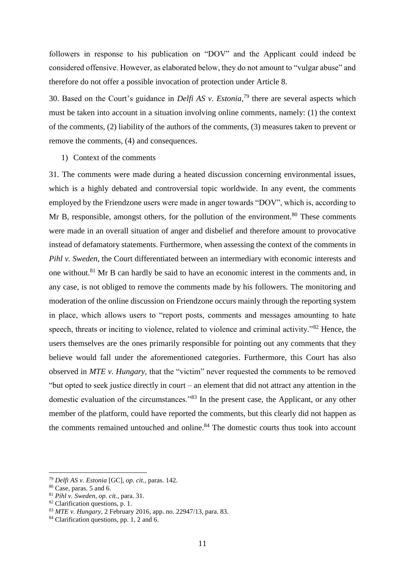followers in response to his publication on "DOV" and the Applicant could indeed be considered offensive. However, as elaborated below, they do not amount to "vulgar abuse" and therefore do not offer a possible invocation of protection under Article 8.

30. Based on the Court's guidance in *Delfi AS v. Estonia*, <sup>79</sup> there are several aspects which must be taken into account in a situation involving online comments, namely: (1) the context of the comments, (2) liability of the authors of the comments, (3) measures taken to prevent or remove the comments, (4) and consequences.

#### 1) Context of the comments

31. The comments were made during a heated discussion concerning environmental issues, which is a highly debated and controversial topic worldwide. In any event, the comments employed by the Friendzone users were made in anger towards "DOV", which is, according to Mr B, responsible, amongst others, for the pollution of the environment.<sup>80</sup> These comments were made in an overall situation of anger and disbelief and therefore amount to provocative instead of defamatory statements. Furthermore, when assessing the context of the comments in *Pihl v. Sweden*, the Court differentiated between an intermediary with economic interests and one without.<sup>81</sup> Mr B can hardly be said to have an economic interest in the comments and, in any case, is not obliged to remove the comments made by his followers. The monitoring and moderation of the online discussion on Friendzone occurs mainly through the reporting system in place, which allows users to "report posts, comments and messages amounting to hate speech, threats or inciting to violence, related to violence and criminal activity."<sup>82</sup> Hence, the users themselves are the ones primarily responsible for pointing out any comments that they believe would fall under the aforementioned categories. Furthermore, this Court has also observed in *MTE v. Hungary,* that the "victim" never requested the comments to be removed "but opted to seek justice directly in court – an element that did not attract any attention in the domestic evaluation of the circumstances."<sup>83</sup> In the present case, the Applicant, or any other member of the platform, could have reported the comments, but this clearly did not happen as the comments remained untouched and online.<sup>84</sup> The domestic courts thus took into account

<sup>79</sup> *Delfi AS v. Estonia* [GC], *op. cit.*, paras. 142.

 $80$  Case, paras. 5 and 6.

<sup>81</sup> *Pihl v. Sweden*, *op. cit.*, para. 31.

<sup>&</sup>lt;sup>82</sup> Clarification questions, p. 1.

<sup>83</sup> *MTE v. Hungary*, 2 February 2016, app. no. 22947/13, para. 83.

<sup>&</sup>lt;sup>84</sup> Clarification questions, pp. 1, 2 and 6.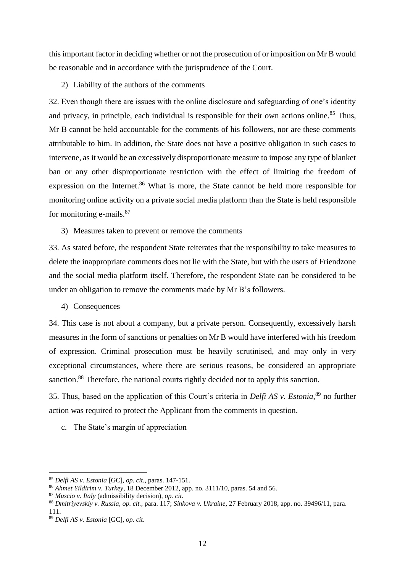this important factor in deciding whether or not the prosecution of or imposition on Mr B would be reasonable and in accordance with the jurisprudence of the Court.

2) Liability of the authors of the comments

32. Even though there are issues with the online disclosure and safeguarding of one's identity and privacy, in principle, each individual is responsible for their own actions online.<sup>85</sup> Thus. Mr B cannot be held accountable for the comments of his followers, nor are these comments attributable to him. In addition, the State does not have a positive obligation in such cases to intervene, as it would be an excessively disproportionate measure to impose any type of blanket ban or any other disproportionate restriction with the effect of limiting the freedom of expression on the Internet.<sup>86</sup> What is more, the State cannot be held more responsible for monitoring online activity on a private social media platform than the State is held responsible for monitoring e-mails. $87$ 

3) Measures taken to prevent or remove the comments

33. As stated before, the respondent State reiterates that the responsibility to take measures to delete the inappropriate comments does not lie with the State, but with the users of Friendzone and the social media platform itself. Therefore, the respondent State can be considered to be under an obligation to remove the comments made by Mr B's followers.

#### 4) Consequences

34. This case is not about a company, but a private person. Consequently, excessively harsh measures in the form of sanctions or penalties on Mr B would have interfered with his freedom of expression. Criminal prosecution must be heavily scrutinised, and may only in very exceptional circumstances, where there are serious reasons, be considered an appropriate sanction.<sup>88</sup> Therefore, the national courts rightly decided not to apply this sanction.

35. Thus, based on the application of this Court's criteria in *Delfi AS v. Estonia*, <sup>89</sup> no further action was required to protect the Applicant from the comments in question.

c. The State's margin of appreciation

<sup>85</sup> *Delfi AS v. Estonia* [GC], *op. cit.*, paras. 147-151.

<sup>86</sup> *Ahmet Yildirim v. Turkey*, 18 December 2012, app. no. 3111/10, paras. 54 and 56.

<sup>87</sup> *Muscio v. Italy* (admissibility decision), *op. cit.*

<sup>88</sup> *Dmitriyevskiy v. Russia*, *op. cit.*, para. 117; *Sinkova v. Ukraine*, 27 February 2018, app. no. 39496/11, para. 111.

<sup>89</sup> *Delfi AS v. Estonia* [GC], *op. cit*.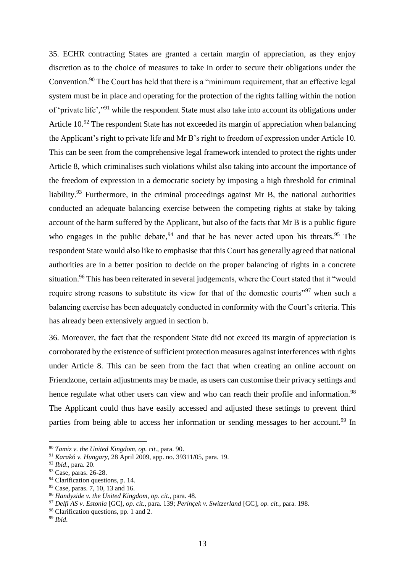35. ECHR contracting States are granted a certain margin of appreciation, as they enjoy discretion as to the choice of measures to take in order to secure their obligations under the Convention.<sup>90</sup> The Court has held that there is a "minimum requirement, that an effective legal system must be in place and operating for the protection of the rights falling within the notion of 'private life',"<sup>91</sup> while the respondent State must also take into account its obligations under Article 10.<sup>92</sup> The respondent State has not exceeded its margin of appreciation when balancing the Applicant's right to private life and Mr B's right to freedom of expression under Article 10. This can be seen from the comprehensive legal framework intended to protect the rights under Article 8, which criminalises such violations whilst also taking into account the importance of the freedom of expression in a democratic society by imposing a high threshold for criminal liability.<sup>93</sup> Furthermore, in the criminal proceedings against Mr B, the national authorities conducted an adequate balancing exercise between the competing rights at stake by taking account of the harm suffered by the Applicant, but also of the facts that Mr B is a public figure who engages in the public debate,  $94$  and that he has never acted upon his threats.  $95$  The respondent State would also like to emphasise that this Court has generally agreed that national authorities are in a better position to decide on the proper balancing of rights in a concrete situation.<sup>96</sup> This has been reiterated in several judgements, where the Court stated that it "would require strong reasons to substitute its view for that of the domestic courts<sup>"97</sup> when such a balancing exercise has been adequately conducted in conformity with the Court's criteria. This has already been extensively argued in section b.

36. Moreover, the fact that the respondent State did not exceed its margin of appreciation is corroborated by the existence of sufficient protection measures against interferences with rights under Article 8. This can be seen from the fact that when creating an online account on Friendzone, certain adjustments may be made, as users can customise their privacy settings and hence regulate what other users can view and who can reach their profile and information.<sup>98</sup> The Applicant could thus have easily accessed and adjusted these settings to prevent third parties from being able to access her information or sending messages to her account.<sup>99</sup> In

<sup>90</sup> *Tamiz v. the United Kingdom*, *op. cit.*, para. 90.

<sup>91</sup> *Karak*ó *v. Hungary,* 28 April 2009, app. no. 39311/05, para. 19.

<sup>92</sup> *Ibid*., para. 20.

<sup>93</sup> Case, paras. 26-28.

<sup>&</sup>lt;sup>94</sup> Clarification questions, p. 14.

<sup>95</sup> Case, paras. 7, 10, 13 and 16.

<sup>96</sup> *Handyside v. the United Kingdom*, *op. cit.*, para. 48.

<sup>97</sup> *Delfi AS v. Estonia* [GC], *op. cit.*, para. 139; *Perinçek v. Switzerland* [GC], *op. cit.*, para. 198.

<sup>&</sup>lt;sup>98</sup> Clarification questions, pp. 1 and 2.

<sup>99</sup> *Ibid*.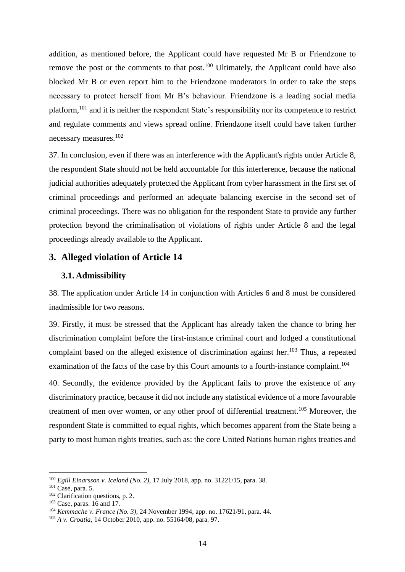addition, as mentioned before, the Applicant could have requested Mr B or Friendzone to remove the post or the comments to that post.<sup>100</sup> Ultimately, the Applicant could have also blocked Mr B or even report him to the Friendzone moderators in order to take the steps necessary to protect herself from Mr B's behaviour. Friendzone is a leading social media platform,<sup>101</sup> and it is neither the respondent State's responsibility nor its competence to restrict and regulate comments and views spread online. Friendzone itself could have taken further necessary measures.<sup>102</sup>

37. In conclusion, even if there was an interference with the Applicant's rights under Article 8, the respondent State should not be held accountable for this interference, because the national judicial authorities adequately protected the Applicant from cyber harassment in the first set of criminal proceedings and performed an adequate balancing exercise in the second set of criminal proceedings. There was no obligation for the respondent State to provide any further protection beyond the criminalisation of violations of rights under Article 8 and the legal proceedings already available to the Applicant.

#### <span id="page-19-0"></span>**3. Alleged violation of Article 14**

#### <span id="page-19-1"></span>**3.1. Admissibility**

38. The application under Article 14 in conjunction with Articles 6 and 8 must be considered inadmissible for two reasons.

39. Firstly, it must be stressed that the Applicant has already taken the chance to bring her discrimination complaint before the first-instance criminal court and lodged a constitutional complaint based on the alleged existence of discrimination against her.<sup>103</sup> Thus, a repeated examination of the facts of the case by this Court amounts to a fourth-instance complaint.<sup>104</sup>

40. Secondly, the evidence provided by the Applicant fails to prove the existence of any discriminatory practice, because it did not include any statistical evidence of a more favourable treatment of men over women, or any other proof of differential treatment.<sup>105</sup> Moreover, the respondent State is committed to equal rights, which becomes apparent from the State being a party to most human rights treaties, such as: the core United Nations human rights treaties and

<sup>100</sup> *Egill Einarsson v. Iceland (No. 2),* 17 July 2018, app. no. 31221/15, para. 38.

<sup>&</sup>lt;sup>101</sup> Case, para. 5.

<sup>&</sup>lt;sup>102</sup> Clarification questions, p. 2.

<sup>103</sup> Case, paras. 16 and 17.

<sup>104</sup> *Kemmache v. France (No. 3)*, 24 November 1994, app. no. 17621/91, para. 44.

<sup>105</sup> *A v. Croatia,* 14 October 2010, app. no. 55164/08, para. 97.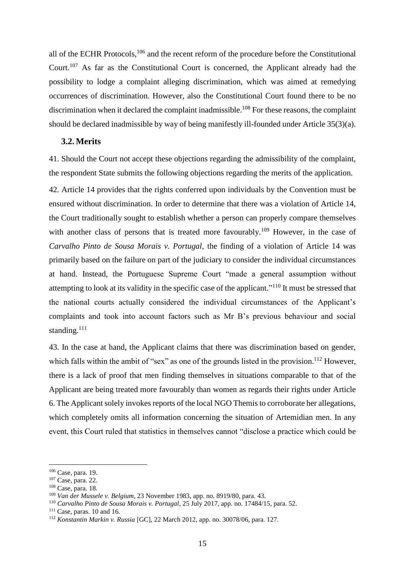all of the ECHR Protocols,<sup>106</sup> and the recent reform of the procedure before the Constitutional Court.<sup>107</sup> As far as the Constitutional Court is concerned, the Applicant already had the possibility to lodge a complaint alleging discrimination, which was aimed at remedying occurrences of discrimination. However, also the Constitutional Court found there to be no discrimination when it declared the complaint inadmissible.<sup>108</sup> For these reasons, the complaint should be declared inadmissible by way of being manifestly ill-founded under Article 35(3)(a).

#### <span id="page-20-0"></span>**3.2. Merits**

41. Should the Court not accept these objections regarding the admissibility of the complaint, the respondent State submits the following objections regarding the merits of the application.

42. Article 14 provides that the rights conferred upon individuals by the Convention must be ensured without discrimination. In order to determine that there was a violation of Article 14, the Court traditionally sought to establish whether a person can properly compare themselves with another class of persons that is treated more favourably.<sup>109</sup> However, in the case of *Carvalho Pinto de Sousa Morais v. Portugal*, the finding of a violation of Article 14 was primarily based on the failure on part of the judiciary to consider the individual circumstances at hand. Instead, the Portuguese Supreme Court "made a general assumption without attempting to look at its validity in the specific case of the applicant."<sup>110</sup> It must be stressed that the national courts actually considered the individual circumstances of the Applicant's complaints and took into account factors such as Mr B's previous behaviour and social standing.<sup>111</sup>

43. In the case at hand, the Applicant claims that there was discrimination based on gender, which falls within the ambit of "sex" as one of the grounds listed in the provision.<sup>112</sup> However, there is a lack of proof that men finding themselves in situations comparable to that of the Applicant are being treated more favourably than women as regards their rights under Article 6. The Applicant solely invokes reports of the local NGO Themis to corroborate her allegations, which completely omits all information concerning the situation of Artemidian men. In any event, this Court ruled that statistics in themselves cannot "disclose a practice which could be

<sup>106</sup> Case, para. 19.

<sup>107</sup> Case, para. 22.

<sup>108</sup> Case, para. 18.

<sup>109</sup> *Van der Mussele v. Belgium*, 23 November 1983, app. no. 8919/80, para. 43.

<sup>110</sup> *Carvalho Pinto de Sousa Morais v. Portugal*, 25 July 2017, app. no. 17484/15, para. 52.

 $111$  Case, paras. 10 and 16.

<sup>112</sup> *Konstantin Markin v. Russia* [GC], 22 March 2012, app. no. 30078/06, para. 127.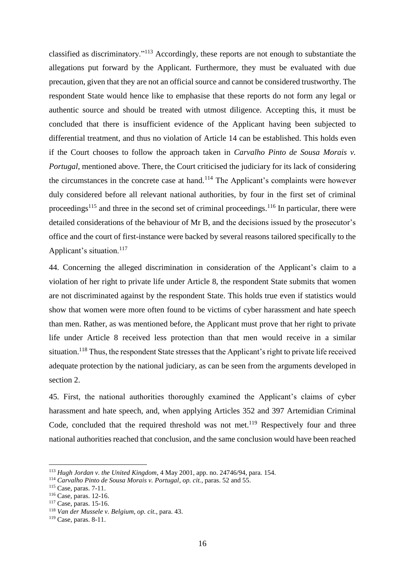classified as discriminatory."<sup>113</sup> Accordingly, these reports are not enough to substantiate the allegations put forward by the Applicant. Furthermore, they must be evaluated with due precaution, given that they are not an official source and cannot be considered trustworthy. The respondent State would hence like to emphasise that these reports do not form any legal or authentic source and should be treated with utmost diligence. Accepting this, it must be concluded that there is insufficient evidence of the Applicant having been subjected to differential treatment, and thus no violation of Article 14 can be established. This holds even if the Court chooses to follow the approach taken in *Carvalho Pinto de Sousa Morais v. Portugal*, mentioned above. There, the Court criticised the judiciary for its lack of considering the circumstances in the concrete case at hand.<sup>114</sup> The Applicant's complaints were however duly considered before all relevant national authorities, by four in the first set of criminal proceedings<sup>115</sup> and three in the second set of criminal proceedings.<sup>116</sup> In particular, there were detailed considerations of the behaviour of Mr B, and the decisions issued by the prosecutor's office and the court of first-instance were backed by several reasons tailored specifically to the Applicant's situation.<sup>117</sup>

44. Concerning the alleged discrimination in consideration of the Applicant's claim to a violation of her right to private life under Article 8, the respondent State submits that women are not discriminated against by the respondent State. This holds true even if statistics would show that women were more often found to be victims of cyber harassment and hate speech than men. Rather, as was mentioned before, the Applicant must prove that her right to private life under Article 8 received less protection than that men would receive in a similar situation.<sup>118</sup> Thus, the respondent State stresses that the Applicant's right to private life received adequate protection by the national judiciary, as can be seen from the arguments developed in section 2.

45. First, the national authorities thoroughly examined the Applicant's claims of cyber harassment and hate speech, and, when applying Articles 352 and 397 Artemidian Criminal Code, concluded that the required threshold was not met.<sup>119</sup> Respectively four and three national authorities reached that conclusion, and the same conclusion would have been reached

<sup>113</sup> *Hugh Jordan v. the United Kingdom*, 4 May 2001, app. no. 24746/94, para. 154.

<sup>114</sup> *Carvalho Pinto de Sousa Morais v. Portugal*, *op. cit.*, paras. 52 and 55.

<sup>115</sup> Case, paras. 7-11.

<sup>116</sup> Case, paras. 12-16.

<sup>117</sup> Case, paras. 15-16.

<sup>118</sup> *Van der Mussele v. Belgium*, *op. cit.*, para. 43.

<sup>119</sup> Case, paras. 8-11.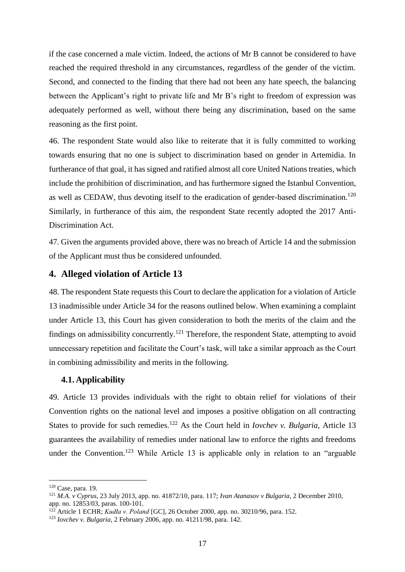if the case concerned a male victim. Indeed, the actions of Mr B cannot be considered to have reached the required threshold in any circumstances, regardless of the gender of the victim. Second, and connected to the finding that there had not been any hate speech, the balancing between the Applicant's right to private life and Mr B's right to freedom of expression was adequately performed as well, without there being any discrimination, based on the same reasoning as the first point.

46. The respondent State would also like to reiterate that it is fully committed to working towards ensuring that no one is subject to discrimination based on gender in Artemidia. In furtherance of that goal, it has signed and ratified almost all core United Nations treaties, which include the prohibition of discrimination, and has furthermore signed the Istanbul Convention, as well as CEDAW, thus devoting itself to the eradication of gender-based discrimination.<sup>120</sup> Similarly, in furtherance of this aim, the respondent State recently adopted the 2017 Anti-Discrimination Act.

47. Given the arguments provided above, there was no breach of Article 14 and the submission of the Applicant must thus be considered unfounded.

#### <span id="page-22-0"></span>**4. Alleged violation of Article 13**

48. The respondent State requests this Court to declare the application for a violation of Article 13 inadmissible under Article 34 for the reasons outlined below. When examining a complaint under Article 13, this Court has given consideration to both the merits of the claim and the findings on admissibility concurrently.<sup>121</sup> Therefore, the respondent State, attempting to avoid unnecessary repetition and facilitate the Court's task, will take a similar approach as the Court in combining admissibility and merits in the following.

#### <span id="page-22-1"></span>**4.1. Applicability**

49. Article 13 provides individuals with the right to obtain relief for violations of their Convention rights on the national level and imposes a positive obligation on all contracting States to provide for such remedies.<sup>122</sup> As the Court held in *Iovchev v. Bulgaria*, Article 13 guarantees the availability of remedies under national law to enforce the rights and freedoms under the Convention.<sup>123</sup> While Article 13 is applicable only in relation to an "arguable

<sup>120</sup> Case, para. 19.

<sup>121</sup> *M.A. v Cyprus*, 23 July 2013, app. no. 41872/10, para. 117; *Ivan Atanasov v Bulgaria*, 2 December 2010, app. no. 12853/03, paras. 100-101.

<sup>122</sup> Article 1 ECHR; *Kudła v. Poland* [GC], 26 October 2000, app. no. 30210/96, para. 152.

<sup>123</sup> *Iovchev v. Bulgaria*, 2 February 2006, app. no. 41211/98, para. 142.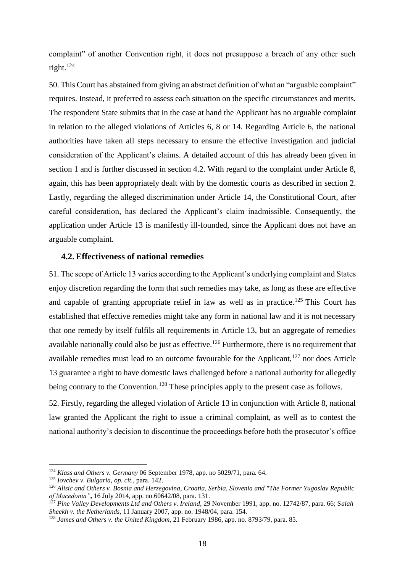complaint" of another Convention right, it does not presuppose a breach of any other such right.<sup>124</sup>

50. This Court has abstained from giving an abstract definition of what an "arguable complaint" requires. Instead, it preferred to assess each situation on the specific circumstances and merits. The respondent State submits that in the case at hand the Applicant has no arguable complaint in relation to the alleged violations of Articles 6, 8 or 14. Regarding Article 6, the national authorities have taken all steps necessary to ensure the effective investigation and judicial consideration of the Applicant's claims. A detailed account of this has already been given in section 1 and is further discussed in section 4.2. With regard to the complaint under Article 8, again, this has been appropriately dealt with by the domestic courts as described in section 2. Lastly, regarding the alleged discrimination under Article 14, the Constitutional Court, after careful consideration, has declared the Applicant's claim inadmissible. Consequently, the application under Article 13 is manifestly ill-founded, since the Applicant does not have an arguable complaint.

#### <span id="page-23-0"></span>**4.2.Effectiveness of national remedies**

51. The scope of Article 13 varies according to the Applicant's underlying complaint and States enjoy discretion regarding the form that such remedies may take, as long as these are effective and capable of granting appropriate relief in law as well as in practice.<sup>125</sup> This Court has established that effective remedies might take any form in national law and it is not necessary that one remedy by itself fulfils all requirements in Article 13, but an aggregate of remedies available nationally could also be just as effective.<sup>126</sup> Furthermore, there is no requirement that available remedies must lead to an outcome favourable for the Applicant, $127$  nor does Article 13 guarantee a right to have domestic laws challenged before a national authority for allegedly being contrary to the Convention.<sup>128</sup> These principles apply to the present case as follows.

52. Firstly, regarding the alleged violation of Article 13 in conjunction with Article 8, national law granted the Applicant the right to issue a criminal complaint, as well as to contest the national authority's decision to discontinue the proceedings before both the prosecutor's office

<sup>124</sup> *Klass and Others v. Germany* 06 September 1978, app. no 5029/71, para. 64.

<sup>125</sup> *Iovchev v. Bulgaria*, *op. cit.*, para. 142.

<sup>126</sup> *Alisic and Others v. Bosnia and Herzegovina, Croatia, Serbia, Slovenia and "The Former Yugoslav Republic of Macedonia"***,** 16 July 2014, app. no.60642/08, para. 131.

<sup>127</sup> *Pine Valley Developments Ltd and Others v. Ireland,* 29 November 1991, app. no. 12742/87, para. 66; S*alah Sheekh v. the Netherlands*, 11 January 2007, app. no. 1948/04, para. 154.

<sup>128</sup> *James and Others v. the United Kingdom*, 21 February 1986, app. no. 8793/79, para. 85.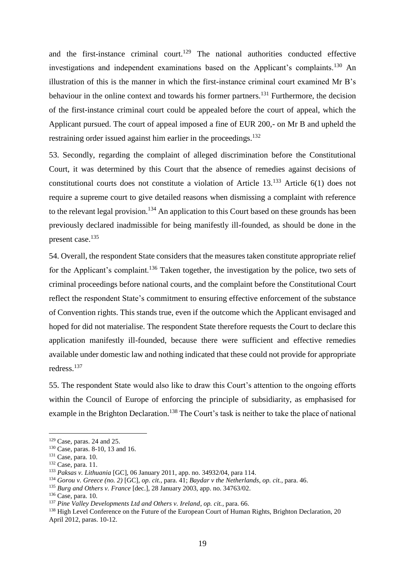and the first-instance criminal court.<sup>129</sup> The national authorities conducted effective investigations and independent examinations based on the Applicant's complaints.<sup>130</sup> An illustration of this is the manner in which the first-instance criminal court examined Mr B's behaviour in the online context and towards his former partners.<sup>131</sup> Furthermore, the decision of the first-instance criminal court could be appealed before the court of appeal, which the Applicant pursued. The court of appeal imposed a fine of EUR 200,- on Mr B and upheld the restraining order issued against him earlier in the proceedings.<sup>132</sup>

53. Secondly, regarding the complaint of alleged discrimination before the Constitutional Court, it was determined by this Court that the absence of remedies against decisions of constitutional courts does not constitute a violation of Article 13.<sup>133</sup> Article 6(1) does not require a supreme court to give detailed reasons when dismissing a complaint with reference to the relevant legal provision.<sup>134</sup> An application to this Court based on these grounds has been previously declared inadmissible for being manifestly ill-founded, as should be done in the present case. 135

54. Overall, the respondent State considers that the measures taken constitute appropriate relief for the Applicant's complaint.<sup>136</sup> Taken together, the investigation by the police, two sets of criminal proceedings before national courts, and the complaint before the Constitutional Court reflect the respondent State's commitment to ensuring effective enforcement of the substance of Convention rights. This stands true, even if the outcome which the Applicant envisaged and hoped for did not materialise. The respondent State therefore requests the Court to declare this application manifestly ill-founded, because there were sufficient and effective remedies available under domestic law and nothing indicated that these could not provide for appropriate redress.<sup>137</sup>

55. The respondent State would also like to draw this Court's attention to the ongoing efforts within the Council of Europe of enforcing the principle of subsidiarity, as emphasised for example in the Brighton Declaration.<sup>138</sup> The Court's task is neither to take the place of national

 $129$  Case, paras. 24 and 25.

<sup>130</sup> Case, paras. 8-10, 13 and 16.

 $131$  Case, para. 10.

<sup>&</sup>lt;sup>132</sup> Case, para. 11.

<sup>133</sup> *Paksas v. Lithuania* [GC], 06 January 2011, app. no. 34932/04, para 114.

<sup>134</sup> *Gorou v. Greece (no. 2)* [GC], *op. cit.*, para. 41; *Baydar v the Netherlands*, *op. cit.*, para. 46.

<sup>135</sup> *Burg and Others v. France* [dec.], 28 January 2003, app. no. 34763/02.

<sup>136</sup> Case, para. 10.

<sup>137</sup> *Pine Valley Developments Ltd and Others v. Ireland*, *op. cit.*, para. 66.

<sup>&</sup>lt;sup>138</sup> High Level Conference on the Future of the European Court of Human Rights, Brighton Declaration, 20 April 2012, paras. 10-12.